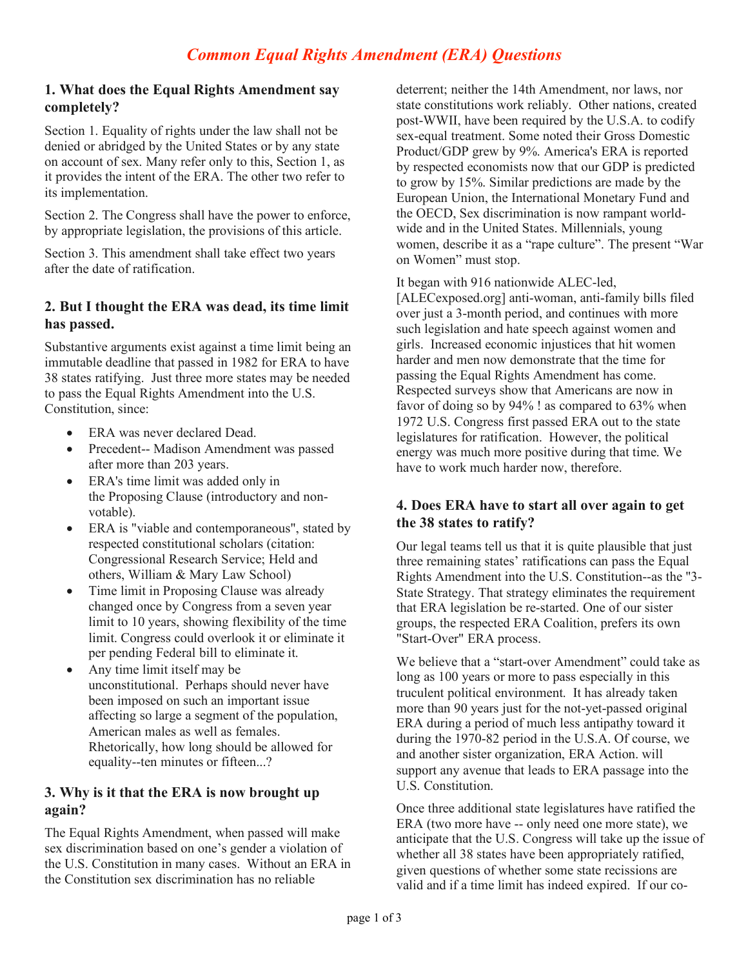### **1. What does the Equal Rights Amendment say completely?**

Section 1. Equality of rights under the law shall not be denied or abridged by the United States or by any state on account of sex. Many refer only to this, Section 1, as it provides the intent of the ERA. The other two refer to its implementation.

Section 2. The Congress shall have the power to enforce, by appropriate legislation, the provisions of this article.

Section 3. This amendment shall take effect two years after the date of ratification.

### **2. But I thought the ERA was dead, its time limit has passed.**

Substantive arguments exist against a time limit being an immutable deadline that passed in 1982 for ERA to have 38 states ratifying. Just three more states may be needed to pass the Equal Rights Amendment into the U.S. Constitution, since:

- ERA was never declared Dead.
- Precedent-- Madison Amendment was passed after more than 203 years.
- ERA's time limit was added only in the Proposing Clause (introductory and nonvotable).
- ERA is "viable and contemporaneous", stated by respected constitutional scholars (citation: Congressional Research Service; Held and others, William & Mary Law School)
- Time limit in Proposing Clause was already changed once by Congress from a seven year limit to 10 years, showing flexibility of the time limit. Congress could overlook it or eliminate it per pending Federal bill to eliminate it.
- Any time limit itself may be unconstitutional. Perhaps should never have been imposed on such an important issue affecting so large a segment of the population, American males as well as females. Rhetorically, how long should be allowed for equality--ten minutes or fifteen...?

# **3. Why is it that the ERA is now brought up again?**

The Equal Rights Amendment, when passed will make sex discrimination based on one's gender a violation of the U.S. Constitution in many cases. Without an ERA in the Constitution sex discrimination has no reliable

deterrent; neither the 14th Amendment, nor laws, nor state constitutions work reliably. Other nations, created post-WWII, have been required by the U.S.A. to codify sex-equal treatment. Some noted their Gross Domestic Product/GDP grew by 9%. America's ERA is reported by respected economists now that our GDP is predicted to grow by 15%. Similar predictions are made by the European Union, the International Monetary Fund and the OECD, Sex discrimination is now rampant worldwide and in the United States. Millennials, young women, describe it as a "rape culture". The present "War on Women" must stop.

It began with 916 nationwide ALEC-led,

[ALECexposed.org] anti-woman, anti-family bills filed over just a 3-month period, and continues with more such legislation and hate speech against women and girls. Increased economic injustices that hit women harder and men now demonstrate that the time for passing the Equal Rights Amendment has come. Respected surveys show that Americans are now in favor of doing so by 94% ! as compared to 63% when 1972 U.S. Congress first passed ERA out to the state legislatures for ratification. However, the political energy was much more positive during that time. We have to work much harder now, therefore.

### **4. Does ERA have to start all over again to get the 38 states to ratify?**

Our legal teams tell us that it is quite plausible that just three remaining states' ratifications can pass the Equal Rights Amendment into the U.S. Constitution--as the "3- State Strategy. That strategy eliminates the requirement that ERA legislation be re-started. One of our sister groups, the respected ERA Coalition, prefers its own "Start-Over" ERA process.

We believe that a "start-over Amendment" could take as long as 100 years or more to pass especially in this truculent political environment. It has already taken more than 90 years just for the not-yet-passed original ERA during a period of much less antipathy toward it during the 1970-82 period in the U.S.A. Of course, we and another sister organization, ERA Action. will support any avenue that leads to ERA passage into the U.S. Constitution.

Once three additional state legislatures have ratified the ERA (two more have -- only need one more state), we anticipate that the U.S. Congress will take up the issue of whether all 38 states have been appropriately ratified, given questions of whether some state recissions are valid and if a time limit has indeed expired. If our co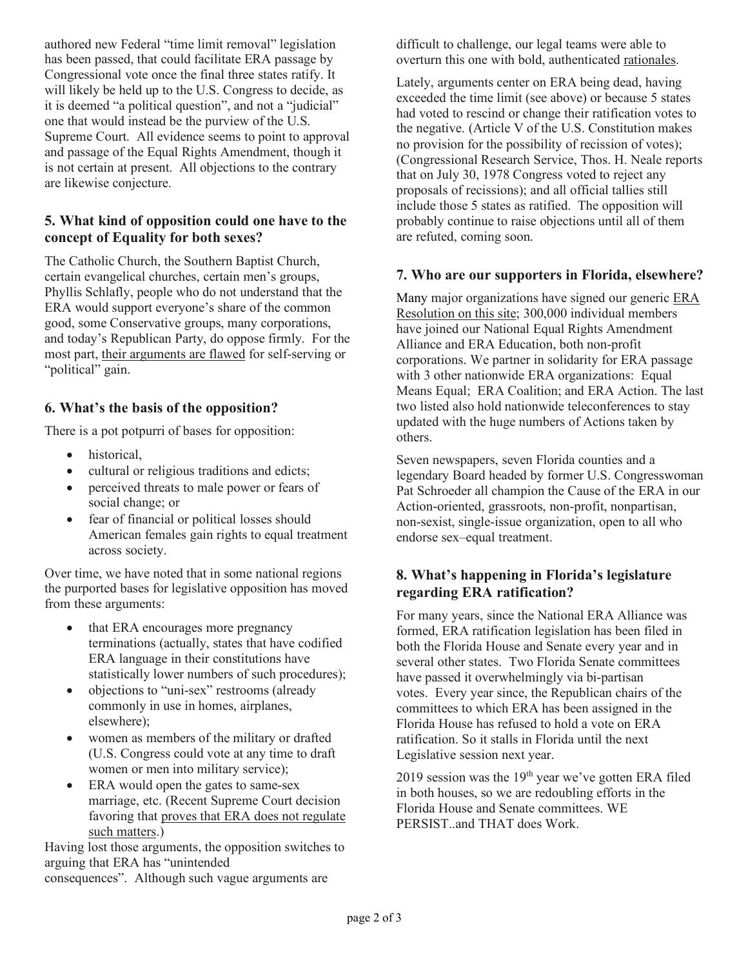authored new Federal "time limit removal" legislation has been passed, that could facilitate ERA passage by Congressional vote once the final three states ratify. It will likely be held up to the U.S. Congress to decide, as it is deemed "a political question", and not a "judicial" one that would instead be the purview of the U.S. Supreme Court. All evidence seems to point to approval and passage of the Equal Rights Amendment, though it is not certain at present. All objections to the contrary are likewise conjecture.

# **5. What kind of opposition could one have to the concept of Equality for both sexes?**

The Catholic Church, the Southern Baptist Church, certain evangelical churches, certain men's groups, Phyllis Schlafly, people who do not understand that the ERA would support everyone's share of the common good, some Conservative groups, many corporations, and today's Republican Party, do oppose firmly. For the most part, their arguments are flawed for self-serving or "political" gain.

# **6. What's the basis of the opposition?**

There is a pot potpurri of bases for opposition:

- historical,
- cultural or religious traditions and edicts;
- perceived threats to male power or fears of social change; or
- fear of financial or political losses should American females gain rights to equal treatment across society.

Over time, we have noted that in some national regions the purported bases for legislative opposition has moved from these arguments:

- that ERA encourages more pregnancy terminations (actually, states that have codified ERA language in their constitutions have statistically lower numbers of such procedures);
- objections to "uni-sex" restrooms (already commonly in use in homes, airplanes, elsewhere);
- women as members of the military or drafted (U.S. Congress could vote at any time to draft women or men into military service);
- ERA would open the gates to same-sex marriage, etc. (Recent Supreme Court decision favoring that proves that ERA does not regulate such matters.)

Having lost those arguments, the opposition switches to arguing that ERA has "unintended consequences". Although such vague arguments are

difficult to challenge, our legal teams were able to overturn this one with bold, authenticated rationales.

Lately, arguments center on ERA being dead, having exceeded the time limit (see above) or because 5 states had voted to rescind or change their ratification votes to the negative. (Article V of the U.S. Constitution makes no provision for the possibility of recission of votes); (Congressional Research Service, Thos. H. Neale reports that on July 30, 1978 Congress voted to reject any proposals of recissions); and all official tallies still include those 5 states as ratified. The opposition will probably continue to raise objections until all of them are refuted, coming soon.

#### **7. Who are our supporters in Florida, elsewhere?**

Many major organizations have signed our generic ERA Resolution on this site; 300,000 individual members have joined our National Equal Rights Amendment Alliance and ERA Education, both non-profit corporations. We partner in solidarity for ERA passage with 3 other nationwide ERA organizations: Equal Means Equal; ERA Coalition; and ERA Action. The last two listed also hold nationwide teleconferences to stay updated with the huge numbers of Actions taken by others.

Seven newspapers, seven Florida counties and a legendary Board headed by former U.S. Congresswoman Pat Schroeder all champion the Cause of the ERA in our Action-oriented, grassroots, non-profit, nonpartisan, non-sexist, single-issue organization, open to all who endorse sex–equal treatment.

# **8. What's happening in Florida's legislature regarding ERA ratification?**

For many years, since the National ERA Alliance was formed, ERA ratification legislation has been filed in both the Florida House and Senate every year and in several other states. Two Florida Senate committees have passed it overwhelmingly via bi-partisan votes. Every year since, the Republican chairs of the committees to which ERA has been assigned in the Florida House has refused to hold a vote on ERA ratification. So it stalls in Florida until the next Legislative session next year.

2019 session was the  $19<sup>th</sup>$  year we've gotten ERA filed in both houses, so we are redoubling efforts in the Florida House and Senate committees. WE PERSIST..and THAT does Work.